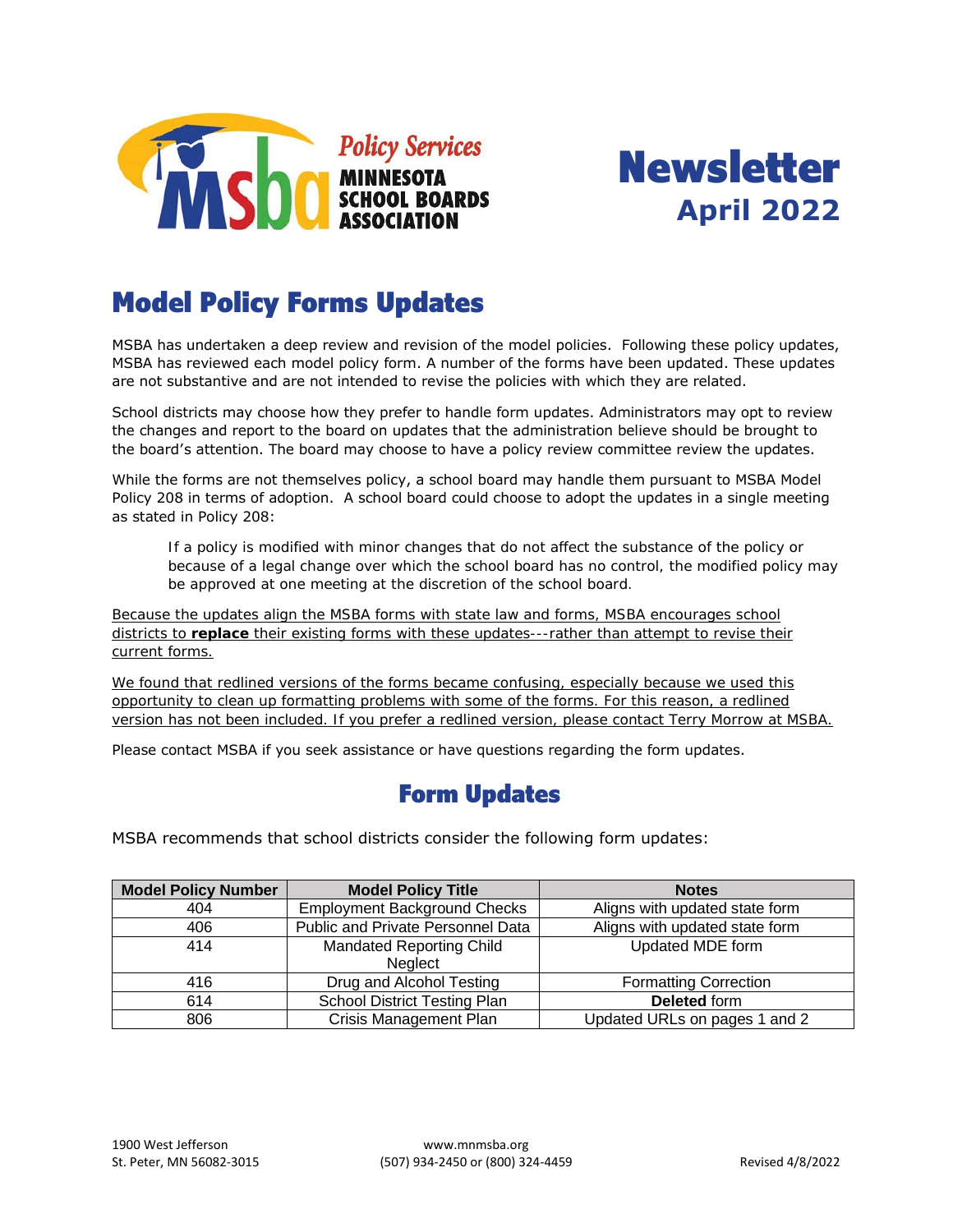



# Model Policy Forms Updates

MSBA has undertaken a deep review and revision of the model policies. Following these policy updates, MSBA has reviewed each model policy form. A number of the forms have been updated. These updates are not substantive and are not intended to revise the policies with which they are related.

School districts may choose how they prefer to handle form updates. Administrators may opt to review the changes and report to the board on updates that the administration believe should be brought to the board's attention. The board may choose to have a policy review committee review the updates.

While the forms are not themselves policy, a school board may handle them pursuant to MSBA Model Policy 208 in terms of adoption. A school board could choose to adopt the updates in a single meeting as stated in Policy 208:

If a policy is modified with minor changes that do not affect the substance of the policy or because of a legal change over which the school board has no control, the modified policy may be approved at one meeting at the discretion of the school board.

Because the updates align the MSBA forms with state law and forms, MSBA encourages school districts to **replace** their existing forms with these updates---rather than attempt to revise their current forms.

We found that redlined versions of the forms became confusing, especially because we used this opportunity to clean up formatting problems with some of the forms. For this reason, a redlined version has not been included. If you prefer a redlined version, please contact Terry Morrow at MSBA.

Please contact MSBA if you seek assistance or have questions regarding the form updates.

### Form Updates

MSBA recommends that school districts consider the following form updates:

| <b>Model Policy Number</b> | <b>Model Policy Title</b>                  | <b>Notes</b>                   |
|----------------------------|--------------------------------------------|--------------------------------|
| 404                        | <b>Employment Background Checks</b>        | Aligns with updated state form |
| 406                        | Public and Private Personnel Data          | Aligns with updated state form |
| 414                        | <b>Mandated Reporting Child</b><br>Neglect | Updated MDE form               |
| 416                        | Drug and Alcohol Testing                   | <b>Formatting Correction</b>   |
| 614                        | School District Testing Plan               | Deleted form                   |
| 806                        | <b>Crisis Management Plan</b>              | Updated URLs on pages 1 and 2  |